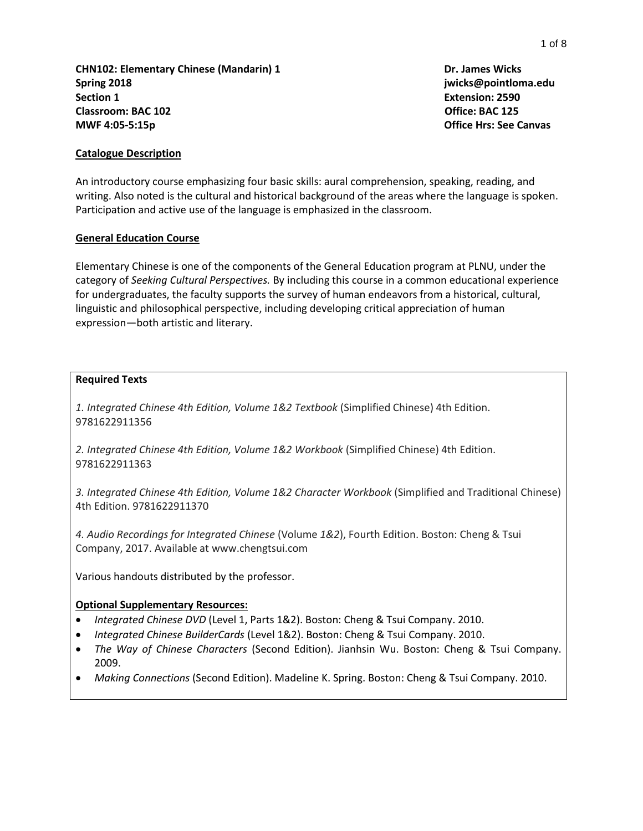**CHN102: Elementary Chinese (Mandarin) 1 Dr. James Wicks Spring 2018 jwicks@pointloma.edu Section 1 Extension: 2590 Classroom: BAC 102** Office: BAC 125 **MWF 4:05-5:15p Office Hrs: See Canvas**

## **Catalogue Description**

An introductory course emphasizing four basic skills: aural comprehension, speaking, reading, and writing. Also noted is the cultural and historical background of the areas where the language is spoken. Participation and active use of the language is emphasized in the classroom.

#### **General Education Course**

Elementary Chinese is one of the components of the General Education program at PLNU, under the category of *Seeking Cultural Perspectives.* By including this course in a common educational experience for undergraduates, the faculty supports the survey of human endeavors from a historical, cultural, linguistic and philosophical perspective, including developing critical appreciation of human expression—both artistic and literary.

### **Required Texts**

*1. Integrated Chinese 4th Edition, Volume 1&2 Textbook* (Simplified Chinese) 4th Edition. 9781622911356

*2. Integrated Chinese 4th Edition, Volume 1&2 Workbook* (Simplified Chinese) 4th Edition. 9781622911363

*3. Integrated Chinese 4th Edition, Volume 1&2 Character Workbook* (Simplified and Traditional Chinese) 4th Edition. 9781622911370

*4. Audio Recordings for Integrated Chinese* (Volume *1&2*), Fourth Edition. Boston: Cheng & Tsui Company, 2017. Available at www.chengtsui.com

Various handouts distributed by the professor.

### **Optional Supplementary Resources:**

- *Integrated Chinese DVD* (Level 1, Parts 1&2). Boston: Cheng & Tsui Company. 2010.
- *Integrated Chinese BuilderCards* (Level 1&2). Boston: Cheng & Tsui Company. 2010.
- *The Way of Chinese Characters* (Second Edition). Jianhsin Wu. Boston: Cheng & Tsui Company. 2009.
- *Making Connections* (Second Edition). Madeline K. Spring. Boston: Cheng & Tsui Company. 2010.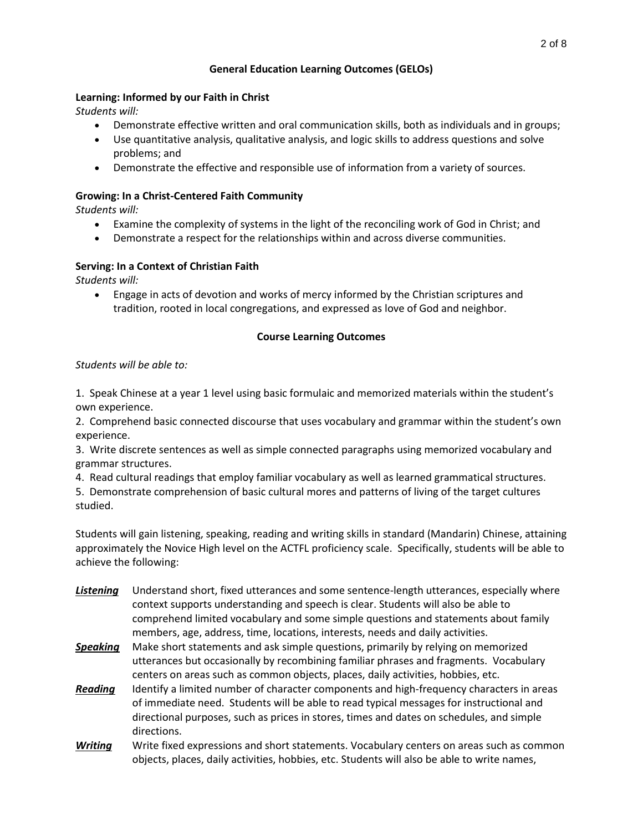# **General Education Learning Outcomes (GELOs)**

## **Learning: Informed by our Faith in Christ**

*Students will:*

- Demonstrate effective written and oral communication skills, both as individuals and in groups;
- Use quantitative analysis, qualitative analysis, and logic skills to address questions and solve problems; and
- Demonstrate the effective and responsible use of information from a variety of sources.

# **Growing: In a Christ-Centered Faith Community**

*Students will:*

- Examine the complexity of systems in the light of the reconciling work of God in Christ; and
- Demonstrate a respect for the relationships within and across diverse communities.

# **Serving: In a Context of Christian Faith**

*Students will:*

 Engage in acts of devotion and works of mercy informed by the Christian scriptures and tradition, rooted in local congregations, and expressed as love of God and neighbor.

# **Course Learning Outcomes**

# *Students will be able to:*

1. Speak Chinese at a year 1 level using basic formulaic and memorized materials within the student's own experience.

2. Comprehend basic connected discourse that uses vocabulary and grammar within the student's own experience.

3. Write discrete sentences as well as simple connected paragraphs using memorized vocabulary and grammar structures.

4. Read cultural readings that employ familiar vocabulary as well as learned grammatical structures.

5. Demonstrate comprehension of basic cultural mores and patterns of living of the target cultures studied.

Students will gain listening, speaking, reading and writing skills in standard (Mandarin) Chinese, attaining approximately the Novice High level on the ACTFL proficiency scale. Specifically, students will be able to achieve the following:

- *Listening* Understand short, fixed utterances and some sentence-length utterances, especially where context supports understanding and speech is clear. Students will also be able to comprehend limited vocabulary and some simple questions and statements about family members, age, address, time, locations, interests, needs and daily activities.
- *Speaking* Make short statements and ask simple questions, primarily by relying on memorized utterances but occasionally by recombining familiar phrases and fragments. Vocabulary centers on areas such as common objects, places, daily activities, hobbies, etc.
- **Reading** Identify a limited number of character components and high-frequency characters in areas of immediate need. Students will be able to read typical messages for instructional and directional purposes, such as prices in stores, times and dates on schedules, and simple directions.
- *Writing* Write fixed expressions and short statements. Vocabulary centers on areas such as common objects, places, daily activities, hobbies, etc. Students will also be able to write names,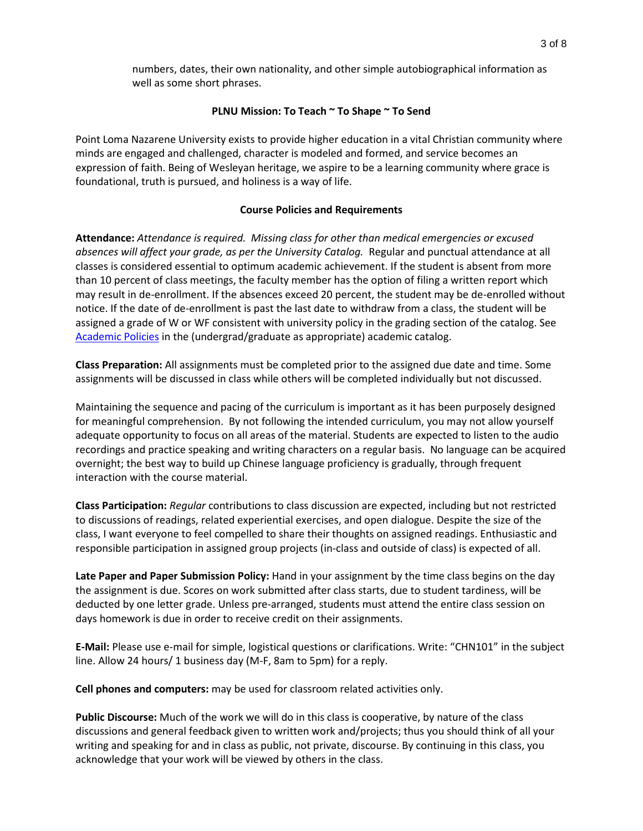numbers, dates, their own nationality, and other simple autobiographical information as well as some short phrases.

### **PLNU Mission: To Teach ~ To Shape ~ To Send**

Point Loma Nazarene University exists to provide higher education in a vital Christian community where minds are engaged and challenged, character is modeled and formed, and service becomes an expression of faith. Being of Wesleyan heritage, we aspire to be a learning community where grace is foundational, truth is pursued, and holiness is a way of life.

#### **Course Policies and Requirements**

**Attendance:** *Attendance is required. Missing class for other than medical emergencies or excused absences will affect your grade, as per the University Catalog.* Regular and punctual attendance at all classes is considered essential to optimum academic achievement. If the student is absent from more than 10 percent of class meetings, the faculty member has the option of filing a written report which may result in de-enrollment. If the absences exceed 20 percent, the student may be de-enrolled without notice. If the date of de-enrollment is past the last date to withdraw from a class, the student will be assigned a grade of W or WF consistent with university policy in the grading section of the catalog. See [Academic Policies](http://catalog.pointloma.edu/content.php?catoid=24&navoid=1581) in the (undergrad/graduate as appropriate) academic catalog.

**Class Preparation:** All assignments must be completed prior to the assigned due date and time. Some assignments will be discussed in class while others will be completed individually but not discussed.

Maintaining the sequence and pacing of the curriculum is important as it has been purposely designed for meaningful comprehension. By not following the intended curriculum, you may not allow yourself adequate opportunity to focus on all areas of the material. Students are expected to listen to the audio recordings and practice speaking and writing characters on a regular basis. No language can be acquired overnight; the best way to build up Chinese language proficiency is gradually, through frequent interaction with the course material.

**Class Participation:** *Regular* contributions to class discussion are expected, including but not restricted to discussions of readings, related experiential exercises, and open dialogue. Despite the size of the class, I want everyone to feel compelled to share their thoughts on assigned readings. Enthusiastic and responsible participation in assigned group projects (in-class and outside of class) is expected of all.

**Late Paper and Paper Submission Policy:** Hand in your assignment by the time class begins on the day the assignment is due. Scores on work submitted after class starts, due to student tardiness, will be deducted by one letter grade. Unless pre-arranged, students must attend the entire class session on days homework is due in order to receive credit on their assignments.

**E-Mail:** Please use e-mail for simple, logistical questions or clarifications. Write: "CHN101" in the subject line. Allow 24 hours/ 1 business day (M-F, 8am to 5pm) for a reply.

**Cell phones and computers:** may be used for classroom related activities only.

**Public Discourse:** Much of the work we will do in this class is cooperative, by nature of the class discussions and general feedback given to written work and/projects; thus you should think of all your writing and speaking for and in class as public, not private, discourse. By continuing in this class, you acknowledge that your work will be viewed by others in the class.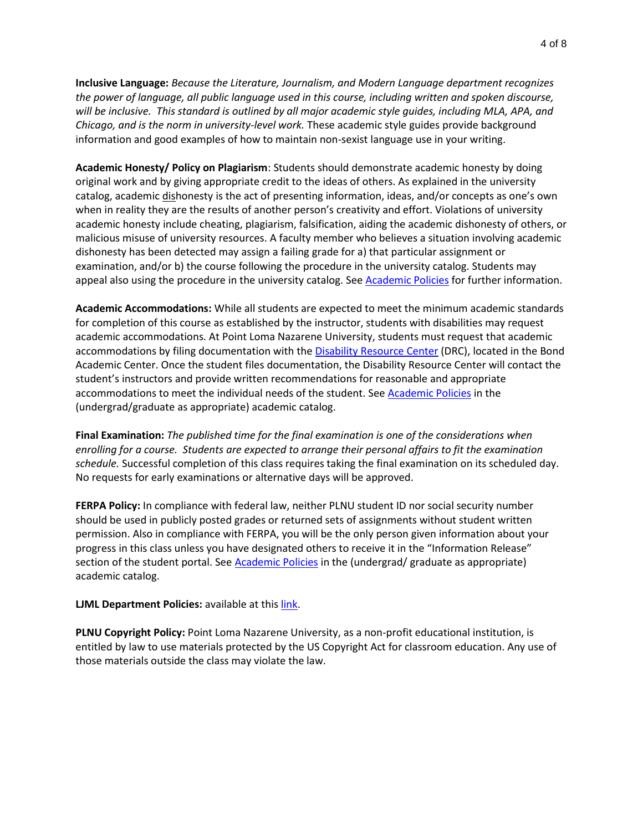**Inclusive Language:** *Because the Literature, Journalism, and Modern Language department recognizes the power of language, all public language used in this course, including written and spoken discourse, will be inclusive. This standard is outlined by all major academic style guides, including MLA, APA, and Chicago, and is the norm in university-level work.* These academic style guides provide background information and good examples of how to maintain non-sexist language use in your writing.

**Academic Honesty/ Policy on Plagiarism**: Students should demonstrate academic honesty by doing original work and by giving appropriate credit to the ideas of others. As explained in the university catalog, academic dishonesty is the act of presenting information, ideas, and/or concepts as one's own when in reality they are the results of another person's creativity and effort. Violations of university academic honesty include cheating, plagiarism, falsification, aiding the academic dishonesty of others, or malicious misuse of university resources. A faculty member who believes a situation involving academic dishonesty has been detected may assign a failing grade for a) that particular assignment or examination, and/or b) the course following the procedure in the university catalog. Students may appeal also using the procedure in the university catalog. See [Academic Policies](http://catalog.pointloma.edu/content.php?catoid=24&navoid=1581#Academic_Honesty) for further information.

**Academic Accommodations:** While all students are expected to meet the minimum academic standards for completion of this course as established by the instructor, students with disabilities may request academic accommodations. At Point Loma Nazarene University, students must request that academic accommodations by filing documentation with the [Disability Resource Center](http://www.pointloma.edu/experience/offices/administrative-offices/academic-advising-office/disability-resource-center) (DRC), located in the Bond Academic Center. Once the student files documentation, the Disability Resource Center will contact the student's instructors and provide written recommendations for reasonable and appropriate accommodations to meet the individual needs of the student. See [Academic Policies](http://catalog.pointloma.edu/content.php?catoid=24&navoid=1581) in the (undergrad/graduate as appropriate) academic catalog.

**Final Examination:** *The published time for the final examination is one of the considerations when enrolling for a course. Students are expected to arrange their personal affairs to fit the examination schedule.* Successful completion of this class requires taking the final examination on its scheduled day. No requests for early examinations or alternative days will be approved.

**FERPA Policy:** In compliance with federal law, neither PLNU student ID nor social security number should be used in publicly posted grades or returned sets of assignments without student written permission. Also in compliance with FERPA, you will be the only person given information about your progress in this class unless you have designated others to receive it in the "Information Release" section of the student portal. See [Academic Policies](http://catalog.pointloma.edu/content.php?catoid=24&navoid=1581) in the (undergrad/ graduate as appropriate) academic catalog.

**LJML Department Policies: available at thi[s link.](http://www.pointloma.edu/sites/default/files/filemanager/Literature_Journalism__Modern_Languages/LJML_Department_Syllabus_Statments_final_2016-17.pdf)** 

**PLNU Copyright Policy:** Point Loma Nazarene University, as a non-profit educational institution, is entitled by law to use materials protected by the US Copyright Act for classroom education. Any use of those materials outside the class may violate the law.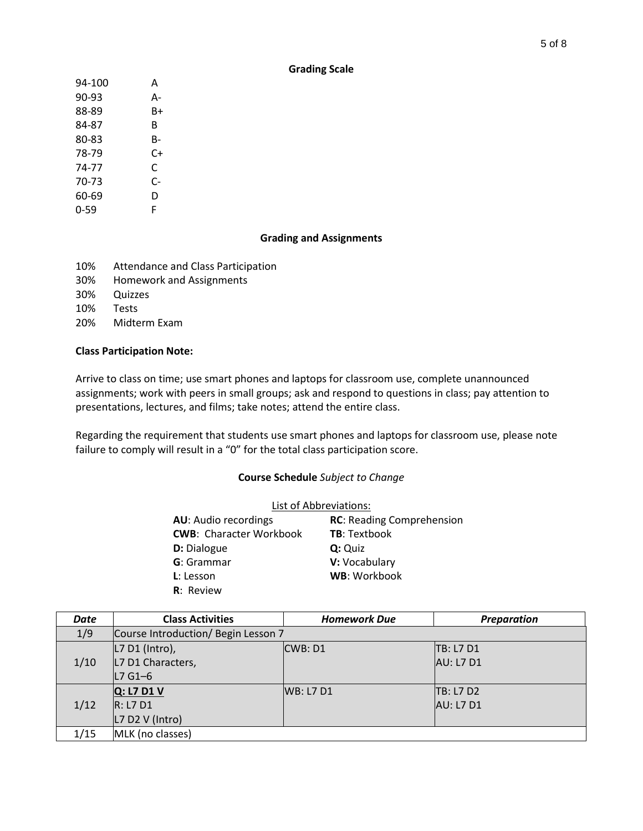## **Grading Scale**

| 94-100 | А  |
|--------|----|
| 90-93  | А- |
| 88-89  | B+ |
| 84-87  | R  |
| 80-83  | B- |
| 78-79  | C+ |
| 74-77  | C  |
| 70-73  | C- |
| 60-69  | D  |
| 0-59   | F  |

## **Grading and Assignments**

- 10% Attendance and Class Participation
- 30% Homework and Assignments
- 30% Quizzes
- 10% Tests
- 20% Midterm Exam

### **Class Participation Note:**

Arrive to class on time; use smart phones and laptops for classroom use, complete unannounced assignments; work with peers in small groups; ask and respond to questions in class; pay attention to presentations, lectures, and films; take notes; attend the entire class.

Regarding the requirement that students use smart phones and laptops for classroom use, please note failure to comply will result in a "0" for the total class participation score.

### **Course Schedule** *Subject to Change*

| List of Abbreviations:         |                                  |  |
|--------------------------------|----------------------------------|--|
| <b>AU:</b> Audio recordings    | <b>RC: Reading Comprehension</b> |  |
| <b>CWB: Character Workbook</b> | <b>TB: Textbook</b>              |  |
| <b>D:</b> Dialogue             | Q: Quiz                          |  |
| <b>G</b> : Grammar             | V: Vocabulary                    |  |
| L: Lesson                      | WB: Workbook                     |  |
| <b>R</b> : Review              |                                  |  |

| Date | <b>Class Activities</b>             | <b>Homework Due</b> | <b>Preparation</b> |
|------|-------------------------------------|---------------------|--------------------|
| 1/9  | Course Introduction/ Begin Lesson 7 |                     |                    |
|      | L7 D1 (Intro),                      | CWB: D1             | <b>TB: L7 D1</b>   |
| 1/10 | L7 D1 Characters,                   |                     | <b>AU: L7 D1</b>   |
|      | $L7$ G1-6                           |                     |                    |
|      | $Q: L7$ D1 V                        | WB: L7 D1           | <b>TB: L7 D2</b>   |
| 1/12 | R: L7 D1                            |                     | <b>AU: L7 D1</b>   |
|      | $L7$ D2 V (Intro)                   |                     |                    |
| 1/15 | MLK (no classes)                    |                     |                    |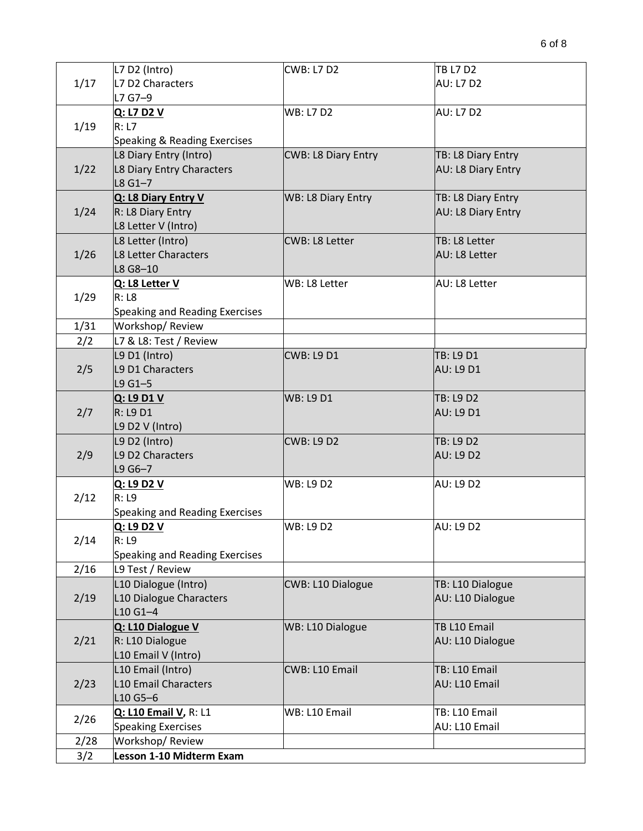|      | L7 D2 (Intro)                          | <b>CWB: L7 D2</b>          | TB L7 D2                             |
|------|----------------------------------------|----------------------------|--------------------------------------|
| 1/17 | L7 D2 Characters                       |                            | <b>AU: L7 D2</b>                     |
|      | L7 G7-9                                |                            |                                      |
|      | Q: L7 D2 V                             | <b>WB: L7 D2</b>           | <b>AU: L7 D2</b>                     |
| 1/19 | R: L7                                  |                            |                                      |
|      | Speaking & Reading Exercises           |                            |                                      |
|      | L8 Diary Entry (Intro)                 | <b>CWB: L8 Diary Entry</b> | TB: L8 Diary Entry                   |
| 1/22 | L8 Diary Entry Characters              |                            | AU: L8 Diary Entry                   |
|      | $L8$ G1-7                              |                            |                                      |
|      | Q: L8 Diary Entry V                    | WB: L8 Diary Entry         | TB: L8 Diary Entry                   |
| 1/24 | R: L8 Diary Entry                      |                            | AU: L8 Diary Entry                   |
|      | L8 Letter V (Intro)                    |                            |                                      |
|      | L8 Letter (Intro)                      | <b>CWB: L8 Letter</b>      | TB: L8 Letter                        |
| 1/26 | L8 Letter Characters                   |                            | AU: L8 Letter                        |
|      | L8 G8-10                               |                            |                                      |
|      | Q: L8 Letter V                         | WB: L8 Letter              | AU: L8 Letter                        |
| 1/29 | R: L8                                  |                            |                                      |
|      | Speaking and Reading Exercises         |                            |                                      |
| 1/31 | Workshop/Review                        |                            |                                      |
| 2/2  | L7 & L8: Test / Review                 |                            |                                      |
|      | L9 D1 (Intro)                          | <b>CWB: L9 D1</b>          | TB: L9 D1                            |
| 2/5  | L9 D1 Characters                       |                            | <b>AU: L9 D1</b>                     |
|      | $L9G1 - 5$                             |                            |                                      |
|      | Q: L9 D1 V                             | <b>WB: L9 D1</b>           | TB: L9 D2                            |
| 2/7  | R: L9D1                                |                            | <b>AU: L9 D1</b>                     |
|      | L9 D2 V (Intro)                        |                            |                                      |
|      | L9 D2 (Intro)                          | <b>CWB: L9 D2</b>          | <b>TB: L9 D2</b>                     |
| 2/9  | L9 D2 Characters                       |                            | <b>AU: L9 D2</b>                     |
|      | L9 G6-7                                |                            |                                      |
|      | Q: L9 D2 V                             | <b>WB: L9 D2</b>           | <b>AU: L9 D2</b>                     |
| 2/12 | R: L9                                  |                            |                                      |
|      | Speaking and Reading Exercises         |                            |                                      |
|      | Q: L9 D2 V                             | <b>WB: L9 D2</b>           | <b>AU: L9 D2</b>                     |
| 2/14 | R: L9                                  |                            |                                      |
|      | Speaking and Reading Exercises         |                            |                                      |
| 2/16 | L9 Test / Review                       | <b>CWB: L10 Dialogue</b>   |                                      |
|      | L10 Dialogue (Intro)                   |                            | TB: L10 Dialogue<br>AU: L10 Dialogue |
| 2/19 | L10 Dialogue Characters<br>$L10G1 - 4$ |                            |                                      |
|      | Q: L10 Dialogue V                      |                            | TB L10 Email                         |
| 2/21 | R: L10 Dialogue                        | WB: L10 Dialogue           | AU: L10 Dialogue                     |
|      | L10 Email V (Intro)                    |                            |                                      |
|      | L10 Email (Intro)                      | CWB: L10 Email             | TB: L10 Email                        |
|      | <b>L10 Email Characters</b>            |                            | AU: L10 Email                        |
| 2/23 | L10 G5-6                               |                            |                                      |
|      | Q: L10 Email V, R: L1                  | WB: L10 Email              | TB: L10 Email                        |
| 2/26 | <b>Speaking Exercises</b>              |                            | AU: L10 Email                        |
| 2/28 | Workshop/Review                        |                            |                                      |
| 3/2  | Lesson 1-10 Midterm Exam               |                            |                                      |
|      |                                        |                            |                                      |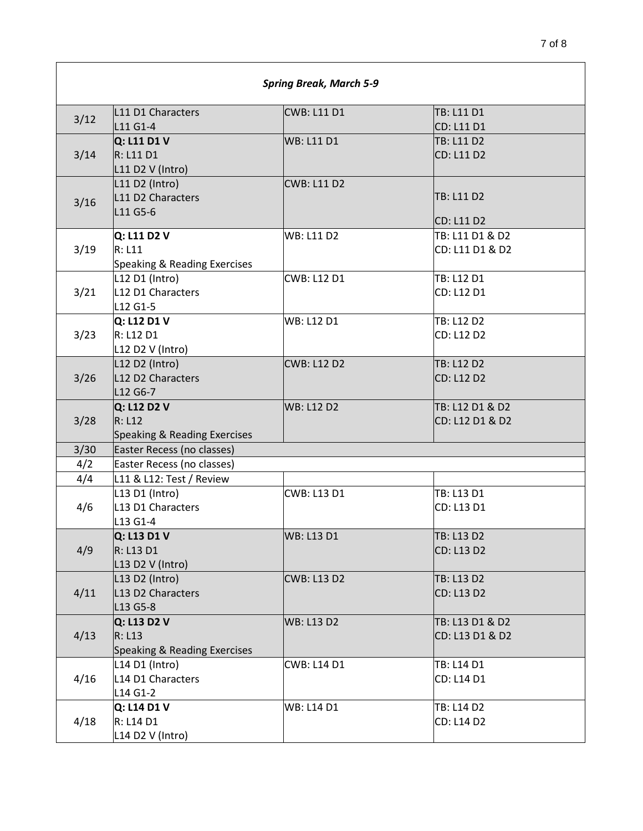| <b>Spring Break, March 5-9</b> |                                                                      |                    |                                    |
|--------------------------------|----------------------------------------------------------------------|--------------------|------------------------------------|
| 3/12                           | L11 D1 Characters<br>L11 G1-4                                        | <b>CWB: L11 D1</b> | TB: L11 D1<br>CD: L11 D1           |
| 3/14                           | Q: L11 D1 V<br>R: L11 D1<br>$L11$ D2 V (Intro)                       | <b>WB: L11 D1</b>  | TB: L11 D2<br>CD: L11 D2           |
| 3/16                           | $L11$ D2 (Intro)<br>L11 D2 Characters<br>L11 G5-6                    | <b>CWB: L11 D2</b> | TB: L11 D2<br>CD: L11 D2           |
| 3/19                           | Q: L11 D2 V<br>R: L11<br>Speaking & Reading Exercises                | <b>WB: L11 D2</b>  | TB: L11 D1 & D2<br>CD: L11 D1 & D2 |
| 3/21                           | L12 D1 (Intro)<br>L12 D1 Characters<br>L12 G1-5                      | <b>CWB: L12 D1</b> | TB: L12 D1<br>CD: L12 D1           |
| 3/23                           | Q: L12 D1 V<br>R: L12 D1<br>L12 D2 V (Intro)                         | <b>WB: L12 D1</b>  | TB: L12 D2<br>CD: L12 D2           |
| 3/26                           | L12 D2 (Intro)<br>L12 D2 Characters<br>L12 G6-7                      | <b>CWB: L12 D2</b> | TB: L12 D2<br>CD: L12 D2           |
| 3/28                           | Q: L12 D2 V<br>R: L12<br>Speaking & Reading Exercises                | <b>WB: L12 D2</b>  | TB: L12 D1 & D2<br>CD: L12 D1 & D2 |
| 3/30                           | Easter Recess (no classes)                                           |                    |                                    |
| 4/2                            | Easter Recess (no classes)                                           |                    |                                    |
| 4/4                            | L11 & L12: Test / Review                                             |                    |                                    |
| 4/6                            | L13 D1 (Intro)<br>L13 D1 Characters<br>L13 G1-4                      | <b>CWB: L13 D1</b> | TB: L13 D1<br>CD: L13 D1           |
| 4/9                            | Q: L13 D1 V<br>R: L13 D1<br>L <sub>13</sub> D <sub>2</sub> V (Intro) | <b>WB: L13 D1</b>  | TB: L13 D2<br>CD: L13 D2           |
| 4/11                           | L13 D2 (Intro)<br>L13 D2 Characters<br>L13 G5-8                      | <b>CWB: L13 D2</b> | TB: L13 D2<br>CD: L13 D2           |
| 4/13                           | Q: L13 D2 V<br>R: L13<br>Speaking & Reading Exercises                | <b>WB: L13 D2</b>  | TB: L13 D1 & D2<br>CD: L13 D1 & D2 |
| 4/16                           | L14 D1 (Intro)<br>L14 D1 Characters<br>L14 G1-2                      | <b>CWB: L14 D1</b> | TB: L14 D1<br>CD: L14 D1           |
| 4/18                           | Q: L14 D1 V<br>R: L14 D1<br>L14 D2 V (Intro)                         | <b>WB: L14 D1</b>  | TB: L14 D2<br>CD: L14 D2           |